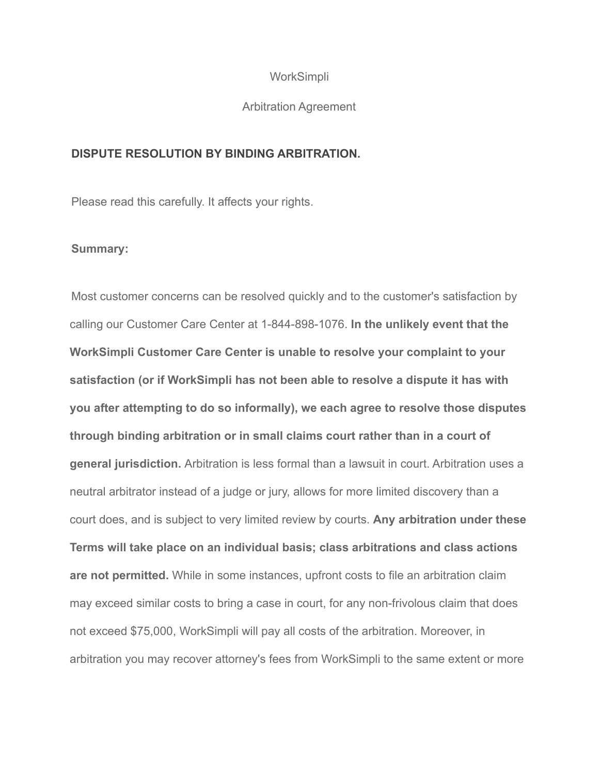# **WorkSimpli**

#### Arbitration Agreement

# **DISPUTE RESOLUTION BY BINDING ARBITRATION.**

Please read this carefully. It affects your rights.

# **Summary:**

Most customer concerns can be resolved quickly and to the customer's satisfaction by calling our Customer Care Center at 1-844-898-1076. **In the unlikely event that the WorkSimpli Customer Care Center is unable to resolve your complaint to your satisfaction (or if WorkSimpli has not been able to resolve a dispute it has with you after attempting to do so informally), we each agree to resolve those disputes through binding arbitration or in small claims court rather than in a court of general jurisdiction.** Arbitration is less formal than a lawsuit in court. Arbitration uses a neutral arbitrator instead of a judge or jury, allows for more limited discovery than a court does, and is subject to very limited review by courts. **Any arbitration under these Terms will take place on an individual basis; class arbitrations and class actions are not permitted.** While in some instances, upfront costs to file an arbitration claim may exceed similar costs to bring a case in court, for any non-frivolous claim that does not exceed \$75,000, WorkSimpli will pay all costs of the arbitration. Moreover, in arbitration you may recover attorney's fees from WorkSimpli to the same extent or more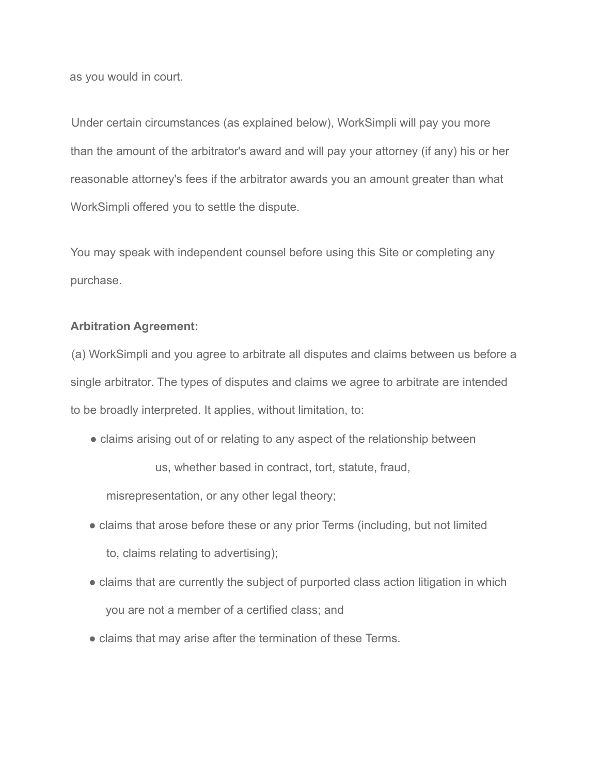as you would in court.

Under certain circumstances (as explained below), WorkSimpli will pay you more than the amount of the arbitrator's award and will pay your attorney (if any) his or her reasonable attorney's fees if the arbitrator awards you an amount greater than what WorkSimpli offered you to settle the dispute.

You may speak with independent counsel before using this Site or completing any purchase.

### **Arbitration Agreement:**

(a) WorkSimpli and you agree to arbitrate all disputes and claims between us before a single arbitrator. The types of disputes and claims we agree to arbitrate are intended to be broadly interpreted. It applies, without limitation, to:

• claims arising out of or relating to any aspect of the relationship between

us, whether based in contract, tort, statute, fraud,

misrepresentation, or any other legal theory;

- claims that arose before these or any prior Terms (including, but not limited to, claims relating to advertising);
- claims that are currently the subject of purported class action litigation in which you are not a member of a certified class; and
- claims that may arise after the termination of these Terms.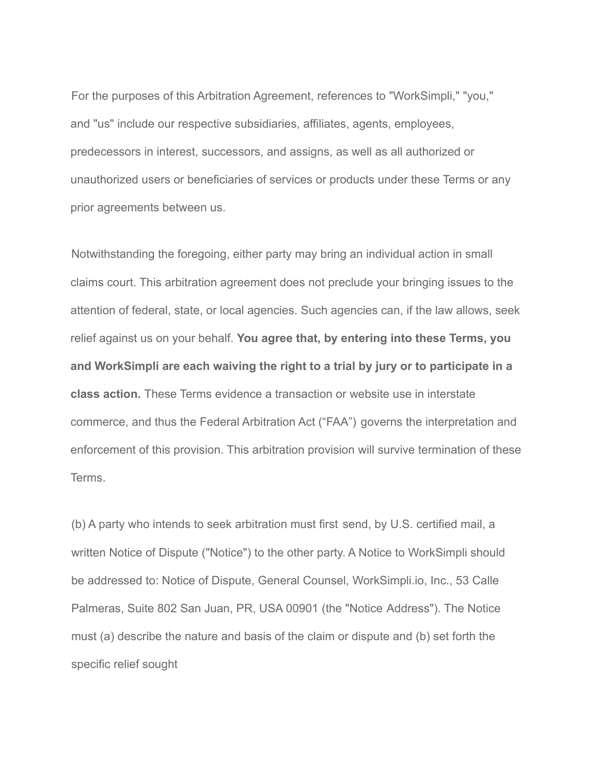For the purposes of this Arbitration Agreement, references to "WorkSimpli," "you," and "us" include our respective subsidiaries, affiliates, agents, employees, predecessors in interest, successors, and assigns, as well as all authorized or unauthorized users or beneficiaries of services or products under these Terms or any prior agreements between us.

Notwithstanding the foregoing, either party may bring an individual action in small claims court. This arbitration agreement does not preclude your bringing issues to the attention of federal, state, or local agencies. Such agencies can, if the law allows, seek relief against us on your behalf. **You agree that, by entering into these Terms, you and WorkSimpli are each waiving the right to a trial by jury or to participate in a class action.** These Terms evidence a transaction or website use in interstate commerce, and thus the Federal Arbitration Act ("FAA") governs the interpretation and enforcement of this provision. This arbitration provision will survive termination of these **Terms** 

(b) A party who intends to seek arbitration must first send, by U.S. certified mail, a written Notice of Dispute ("Notice") to the other party. A Notice to WorkSimpli should be addressed to: Notice of Dispute, General Counsel, WorkSimpli.io, Inc., 53 Calle Palmeras, Suite 802 San Juan, PR, USA 00901 (the "Notice Address"). The Notice must (a) describe the nature and basis of the claim or dispute and (b) set forth the specific relief sought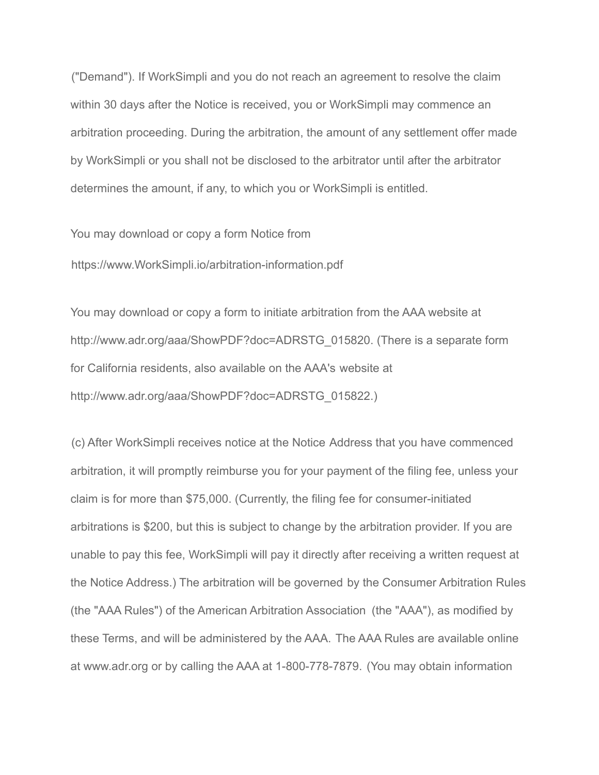("Demand"). If WorkSimpli and you do not reach an agreement to resolve the claim within 30 days after the Notice is received, you or WorkSimpli may commence an arbitration proceeding. During the arbitration, the amount of any settlement offer made by WorkSimpli or you shall not be disclosed to the arbitrator until after the arbitrator determines the amount, if any, to which you or WorkSimpli is entitled.

You may download or copy a form Notice from

https://www.WorkSimpli.io/arbitration-information.pdf

You may download or copy a form to initiate arbitration from the AAA website at http://www.adr.org/aaa/ShowPDF?doc=ADRSTG\_015820. (There is a separate form for California residents, also available on the AAA's website at http://www.adr.org/aaa/ShowPDF?doc=ADRSTG\_015822.)

(c) After WorkSimpli receives notice at the Notice Address that you have commenced arbitration, it will promptly reimburse you for your payment of the filing fee, unless your claim is for more than \$75,000. (Currently, the filing fee for consumer-initiated arbitrations is \$200, but this is subject to change by the arbitration provider. If you are unable to pay this fee, WorkSimpli will pay it directly after receiving a written request at the Notice Address.) The arbitration will be governed by the Consumer Arbitration Rules (the "AAA Rules") of the American Arbitration Association (the "AAA"), as modified by these Terms, and will be administered by the AAA. The AAA Rules are available online at www.adr.org or by calling the AAA at 1-800-778-7879. (You may obtain information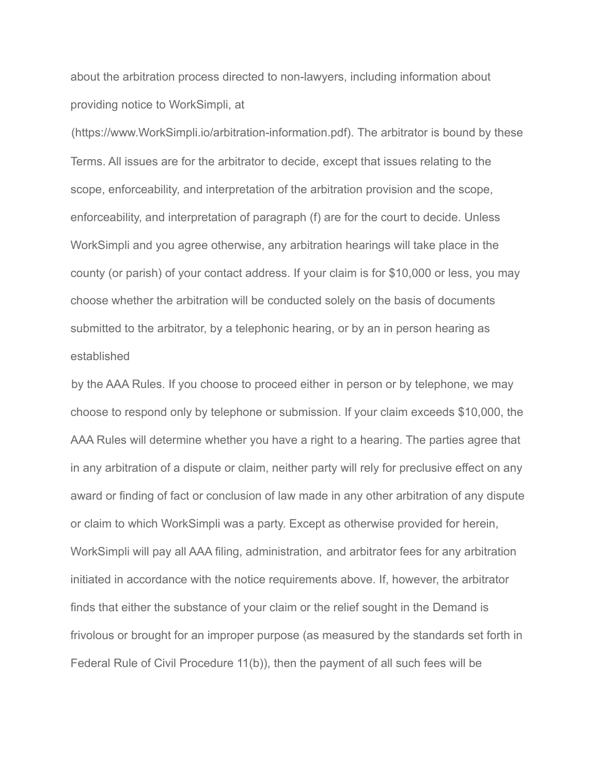about the arbitration process directed to non-lawyers, including information about providing notice to WorkSimpli, at

(https://www.WorkSimpli.io/arbitration-information.pdf). The arbitrator is bound by these Terms. All issues are for the arbitrator to decide, except that issues relating to the scope, enforceability, and interpretation of the arbitration provision and the scope, enforceability, and interpretation of paragraph (f) are for the court to decide. Unless WorkSimpli and you agree otherwise, any arbitration hearings will take place in the county (or parish) of your contact address. If your claim is for \$10,000 or less, you may choose whether the arbitration will be conducted solely on the basis of documents submitted to the arbitrator, by a telephonic hearing, or by an in person hearing as established

by the AAA Rules. If you choose to proceed either in person or by telephone, we may choose to respond only by telephone or submission. If your claim exceeds \$10,000, the AAA Rules will determine whether you have a right to a hearing. The parties agree that in any arbitration of a dispute or claim, neither party will rely for preclusive effect on any award or finding of fact or conclusion of law made in any other arbitration of any dispute or claim to which WorkSimpli was a party. Except as otherwise provided for herein, WorkSimpli will pay all AAA filing, administration, and arbitrator fees for any arbitration initiated in accordance with the notice requirements above. If, however, the arbitrator finds that either the substance of your claim or the relief sought in the Demand is frivolous or brought for an improper purpose (as measured by the standards set forth in Federal Rule of Civil Procedure 11(b)), then the payment of all such fees will be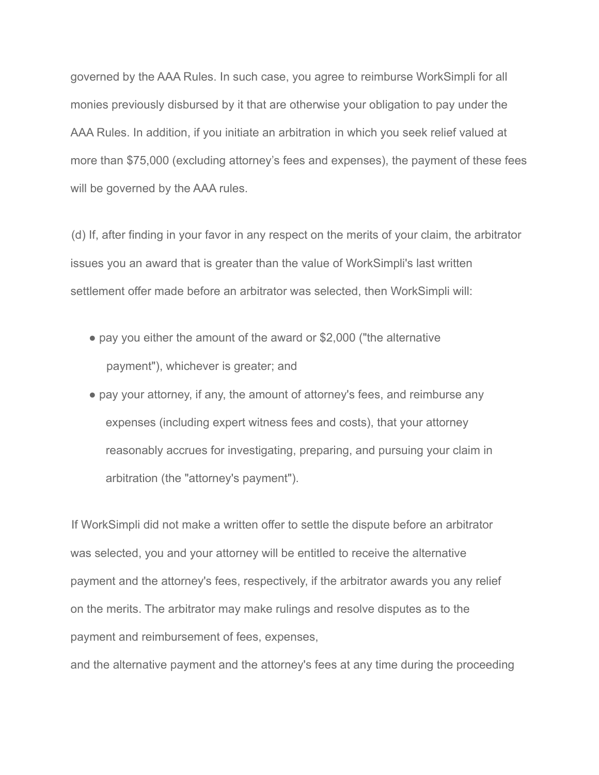governed by the AAA Rules. In such case, you agree to reimburse WorkSimpli for all monies previously disbursed by it that are otherwise your obligation to pay under the AAA Rules. In addition, if you initiate an arbitration in which you seek relief valued at more than \$75,000 (excluding attorney's fees and expenses), the payment of these fees will be governed by the AAA rules.

(d) If, after finding in your favor in any respect on the merits of your claim, the arbitrator issues you an award that is greater than the value of WorkSimpli's last written settlement offer made before an arbitrator was selected, then WorkSimpli will:

- pay you either the amount of the award or \$2,000 ("the alternative payment"), whichever is greater; and
- pay your attorney, if any, the amount of attorney's fees, and reimburse any expenses (including expert witness fees and costs), that your attorney reasonably accrues for investigating, preparing, and pursuing your claim in arbitration (the "attorney's payment").

If WorkSimpli did not make a written offer to settle the dispute before an arbitrator was selected, you and your attorney will be entitled to receive the alternative payment and the attorney's fees, respectively, if the arbitrator awards you any relief on the merits. The arbitrator may make rulings and resolve disputes as to the payment and reimbursement of fees, expenses,

and the alternative payment and the attorney's fees at any time during the proceeding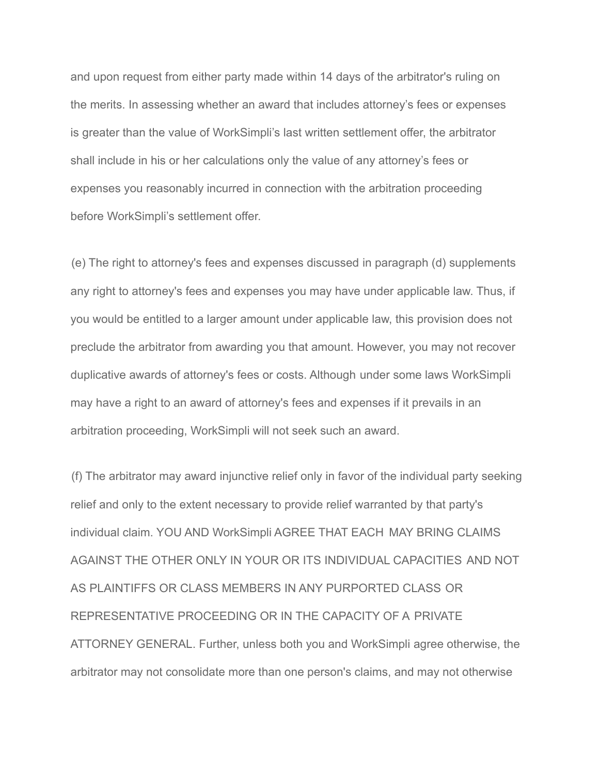and upon request from either party made within 14 days of the arbitrator's ruling on the merits. In assessing whether an award that includes attorney's fees or expenses is greater than the value of WorkSimpli's last written settlement offer, the arbitrator shall include in his or her calculations only the value of any attorney's fees or expenses you reasonably incurred in connection with the arbitration proceeding before WorkSimpli's settlement offer.

(e) The right to attorney's fees and expenses discussed in paragraph (d) supplements any right to attorney's fees and expenses you may have under applicable law. Thus, if you would be entitled to a larger amount under applicable law, this provision does not preclude the arbitrator from awarding you that amount. However, you may not recover duplicative awards of attorney's fees or costs. Although under some laws WorkSimpli may have a right to an award of attorney's fees and expenses if it prevails in an arbitration proceeding, WorkSimpli will not seek such an award.

(f) The arbitrator may award injunctive relief only in favor of the individual party seeking relief and only to the extent necessary to provide relief warranted by that party's individual claim. YOU AND WorkSimpli AGREE THAT EACH MAY BRING CLAIMS AGAINST THE OTHER ONLY IN YOUR OR ITS INDIVIDUAL CAPACITIES AND NOT AS PLAINTIFFS OR CLASS MEMBERS IN ANY PURPORTED CLASS OR REPRESENTATIVE PROCEEDING OR IN THE CAPACITY OF A PRIVATE ATTORNEY GENERAL. Further, unless both you and WorkSimpli agree otherwise, the arbitrator may not consolidate more than one person's claims, and may not otherwise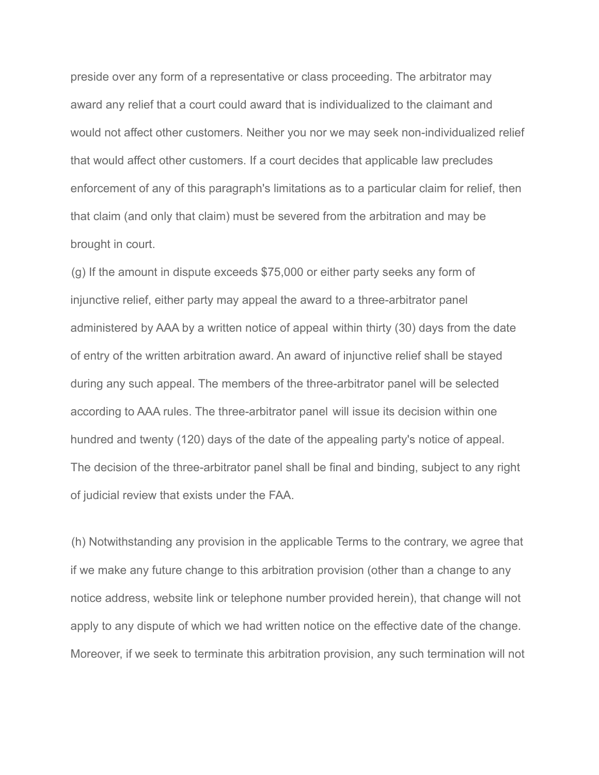preside over any form of a representative or class proceeding. The arbitrator may award any relief that a court could award that is individualized to the claimant and would not affect other customers. Neither you nor we may seek non-individualized relief that would affect other customers. If a court decides that applicable law precludes enforcement of any of this paragraph's limitations as to a particular claim for relief, then that claim (and only that claim) must be severed from the arbitration and may be brought in court.

(g) If the amount in dispute exceeds \$75,000 or either party seeks any form of injunctive relief, either party may appeal the award to a three-arbitrator panel administered by AAA by a written notice of appeal within thirty (30) days from the date of entry of the written arbitration award. An award of injunctive relief shall be stayed during any such appeal. The members of the three-arbitrator panel will be selected according to AAA rules. The three-arbitrator panel will issue its decision within one hundred and twenty (120) days of the date of the appealing party's notice of appeal. The decision of the three-arbitrator panel shall be final and binding, subject to any right of judicial review that exists under the FAA.

(h) Notwithstanding any provision in the applicable Terms to the contrary, we agree that if we make any future change to this arbitration provision (other than a change to any notice address, website link or telephone number provided herein), that change will not apply to any dispute of which we had written notice on the effective date of the change. Moreover, if we seek to terminate this arbitration provision, any such termination will not